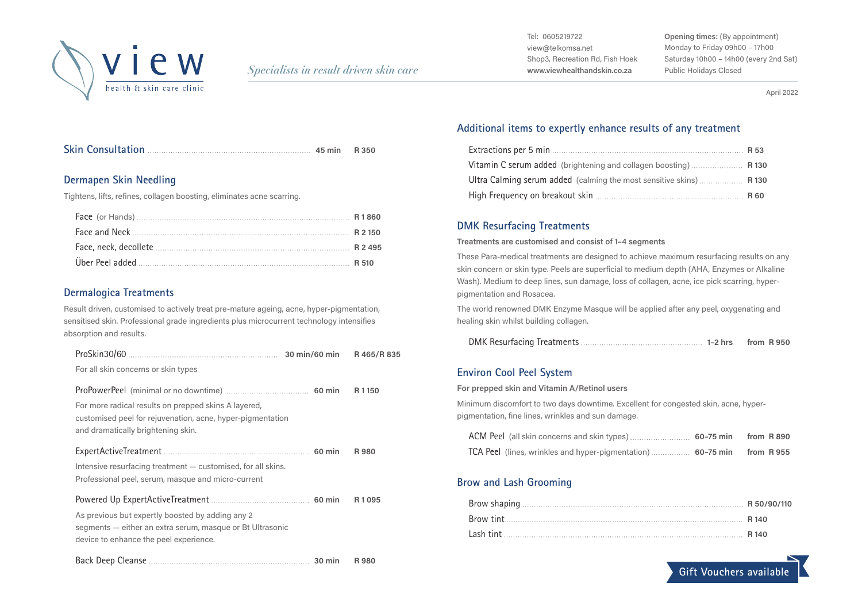

Tel: 0605219722 view@telkomsa.net Shop3, Recreation Rd, Fish Hoek **www.viewhealthandskin.co.za**

**Opening times:** (By appointment) Monday to Friday 09h00 – 17h00 Saturday 10h00 – 14h00 (every 2nd Sat) Public Holidays Closed

April 2022

### **Dermapen Skin Needling**

Tightens, lifts, refines, collagen boosting, eliminates acne scarring.

#### **Dermalogica Treatments**

Result driven, customised to actively treat pre-mature ageing, acne, hyper-pigmentation, sensitised skin. Professional grade ingredients plus microcurrent technology intensifies absorption and results.

| For all skin concerns or skin types                                                                                                                      |       |
|----------------------------------------------------------------------------------------------------------------------------------------------------------|-------|
| For more radical results on prepped skins A layered,<br>customised peel for rejuvenation, acne, hyper-pigmentation<br>and dramatically brightening skin. | R1150 |
| Intensive resurfacing treatment – customised, for all skins.<br>Professional peel, serum, masque and micro-current                                       | R 980 |
| As previous but expertly boosted by adding any 2<br>segments - either an extra serum, masque or Bt Ultrasonic<br>device to enhance the peel experience.  | R1095 |
|                                                                                                                                                          | R 980 |

### **Additional items to expertly enhance results of any treatment**

| Vitamin C serum added (brightening and collagen boosting) R 130     |  |
|---------------------------------------------------------------------|--|
| Ultra Calming serum added (calming the most sensitive skins)  R 130 |  |
|                                                                     |  |

#### **DMK Resurfacing Treatments**

**Treatments are customised and consist of 1–4 segments**

These Para-medical treatments are designed to achieve maximum resurfacing results on any skin concern or skin type. Peels are superficial to medium depth (AHA, Enzymes or Alkaline Wash). Medium to deep lines, sun damage, loss of collagen, acne, ice pick scarring, hyperpigmentation and Rosacea.

The world renowned DMK Enzyme Masque will be applied after any peel, oxygenating and healing skin whilst building collagen.

|--|--|--|

### **Environ Cool Peel System**

**For prepped skin and Vitamin A/Retinol users**

Minimum discomfort to two days downtime. Excellent for congested skin, acne, hyperpigmentation, fine lines, wrinkles and sun damage.

| TCA Peel (lines, wrinkles and hyper-pigmentation)  60-75 min from R 955 |  |
|-------------------------------------------------------------------------|--|

### **Brow and Lash Grooming**